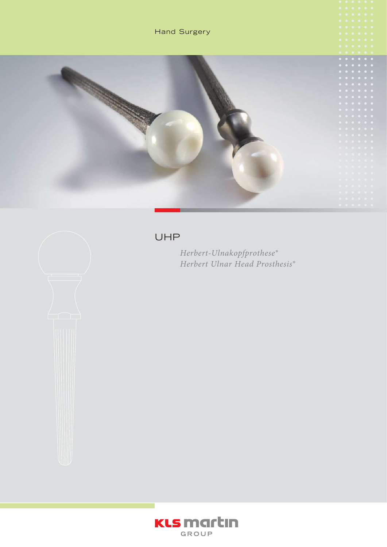





# UHP

*Herbert-Ulnakopfprothese® Herbert Ulnar Head Prosthesis®*

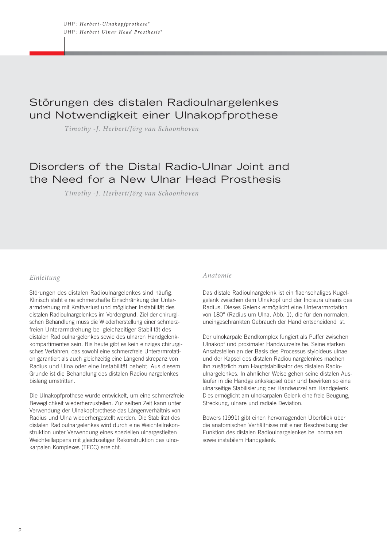# Störungen des distalen Radioulnargelenkes und Notwendigkeit einer Ulnakopfprothese

*Timothy -J. Herbert/Jörg van Schoonhoven*

# Disorders of the Distal Radio-Ulnar Joint and the Need for a New Ulnar Head Prosthesis

*Timothy -J. Herbert/Jörg van Schoonhoven*

#### *Einleitung*

Störungen des distalen Radioulnargelenkes sind häufig. Klinisch steht eine schmerzhafte Einschränkung der Unterarmdrehung mit Kraftverlust und möglicher Instabilität des distalen Radioulnargelenkes im Vordergrund. Ziel der chirurgischen Behandlung muss die Wiederherstellung einer schmerzfreien Unterarmdrehung bei gleichzeitiger Stabilität des distalen Radioulnargelenkes sowie des ulnaren Handgelenkkompartimentes sein. Bis heute gibt es kein einziges chirurgisches Verfahren, das sowohl eine schmerzfreie Unterarmrotation garantiert als auch gleichzeitig eine Längendiskrepanz von Radius und Ulna oder eine Instabilität behebt. Aus diesem Grunde ist die Behandlung des distalen Radioulnargelenkes bislang umstritten.

Die Ulnakopfprothese wurde entwickelt, um eine schmerzfreie Beweglichkeit wiederherzustellen. Zur selben Zeit kann unter Verwendung der Ulnakopfprothese das Längenverhältnis von Radius und Ulna wiederhergestellt werden. Die Stabilität des distalen Radioulnargelenkes wird durch eine Weichteilrekonstruktion unter Verwendung eines speziellen ulnargestielten Weichteillappens mit gleichzeitiger Rekonstruktion des ulnokarpalen Komplexes (TFCC) erreicht.

#### *Anatomie*

Das distale Radioulnargelenk ist ein flachschaliges Kugelgelenk zwischen dem Ulnakopf und der Incisura ulnaris des Radius. Dieses Gelenk ermöglicht eine Unterarmrotation von 180° (Radius um Ulna, Abb. 1), die für den normalen, uneingeschränkten Gebrauch der Hand entscheidend ist.

Der ulnokarpale Bandkomplex fungiert als Puffer zwischen Ulnakopf und proximaler Handwurzelreihe. Seine starken Ansatzstellen an der Basis des Processus styloideus ulnae und der Kapsel des distalen Radioulnargelenkes machen ihn zusätzlich zum Hauptstabilisator des distalen Radioulnargelenkes. In ähnlicher Weise gehen seine distalen Ausläufer in die Handgelenkskapsel über und bewirken so eine ulnarseitige Stabilisierung der Handwurzel am Handgelenk. Dies ermöglicht am ulnokarpalen Gelenk eine freie Beugung, Streckung, ulnare und radiale Deviation.

Bowers (1991) gibt einen hervorragenden Überblick über die anatomischen Verhältnisse mit einer Beschreibung der Funktion des distalen Radioulnargelenkes bei normalem sowie instabilem Handgelenk.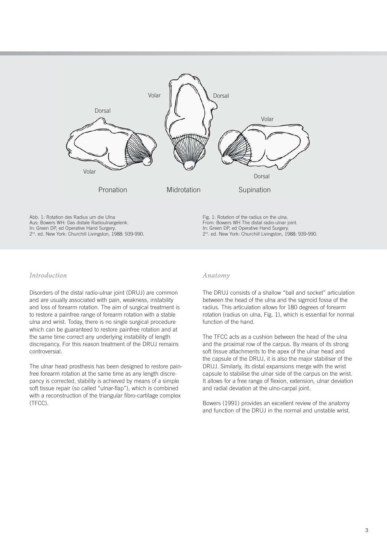

Abb. 1: Rotation des Radius um die Ulna Aus: Bowers WH: Das distale Radioulnargelenk. In: Green DP, ed Operative Hand Surgery. 2nd. ed. New York: Churchill Livingston, 1988: 939-990. Fig. 1: Rotation of the radius on the ulna. From: Bowers WH The distal radio-ulnar joint. In: Green DP, ed Operative Hand Surgery. 2<sup>nd</sup>. ed. New York: Churchill Livingston, 1988: 939-990.

# *Introduction*

Disorders of the distal radio-ulnar joint (DRUJ) are common and are usually associated with pain, weakness, instability and loss of forearm rotation. The aim of surgical treatment is to restore a painfree range of forearm rotation with a stable ulna and wrist. Today, there is no single surgical procedure which can be guaranteed to restore painfree rotation and at the same time correct any underlying instability of length discrepancy. For this reason treatment of the DRUJ remains controversial.

The ulnar head prosthesis has been designed to restore painfree forearm rotation at the same time as any length discrepancy is corrected, stability is achieved by means of a simple soft tissue repair (so called "ulnar-flap"), which is combined with a reconstruction of the triangular fibro-cartilage complex (TFCC).

#### *Anatomy*

The DRUJ consists of a shallow "ball and socket" articulation between the head of the ulna and the sigmoid fossa of the radius. This articulation allows for 180 degrees of forearm rotation (radius on ulna, Fig. 1), which is essential for normal function of the hand.

The TFCC acts as a cushion between the head of the ulna and the proximal row of the carpus. By means of its strong soft tissue attachments to the apex of the ulnar head and the capsule of the DRUJ, it is also the major stabiliser of the DRUJ. Similarly, its distal expansions merge with the wrist capsule to stabilise the ulnar side of the carpus on the wrist. It allows for a free range of flexion, extension, ulnar deviation and radial deviation at the ulno-carpal joint.

Bowers (1991) provides an excellent review of the anatomy and function of the DRUJ in the normal and unstable wrist.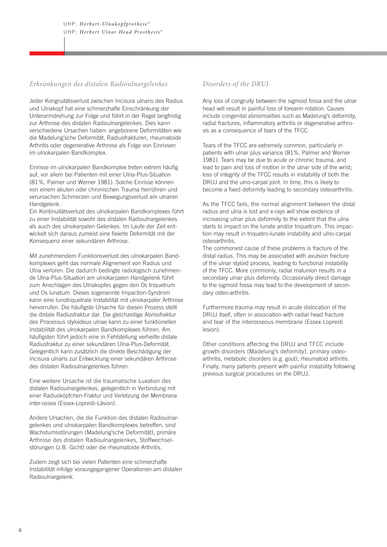# *Erkrankungen des distalen Radio ulnargelenkes*

Jeder Kongruitätsverlust zwischen Incisura ulnaris des Radius und Ulnakopf hat eine schmerzhafte Einschränkung der Unterarmdrehung zur Folge und führt in der Regel langfristig zur Arthrose des distalen Radioulnargelenkes. Dies kann verschiedene Ursachen haben: angeborene Deformitäten wie die Madelung'sche Deformität, Radiusfrakturen, rheumatoide Arthritis oder degenerative Arthrose als Folge von Einrissen im ulnokarpalen Bandkomplex.

Einrisse im ulnokarpalen Bandkomplex treten extrem häufig auf, vor allem bei Patienten mit einer Ulna-Plus-Situation (81%, Palmer und Werner 1981). Solche Einrisse können von einem akuten oder chronischen Trauma herrühren und verursachen Schmerzen und Bewegungsverlust am ulnaren Handgelenk.

Ein Kontinuitätsverlust des ulnokarpalen Bandkomplexes führt zu einer Instabilität sowohl des distalen Radioulnargelenkes als auch des ulnokarpalen Gelenkes. Im Laufe der Zeit entwickelt sich daraus zumeist eine fixierte Deformität mit der Konsequenz einer sekundären Arthrose.

Mit zunehmendem Funktionsverlust des ulnokarpalen Bandkomplexes geht das normale Alignement von Radius und Ulna verloren. Die dadurch bedingte radiologisch zunehmende Ulna-Plus-Situation am ulnokarpalen Handgelenk führt zum Anschlagen des Ulnakopfes gegen den Os triquetrum und Os lunatum. Dieses sogenannte Impaction-Syndrom kann eine lunotriquetrale Instabilität mit ulnokarpaler Arthrose hervorrufen. Die häufigste Ursache für diesen Prozess stellt die distale Radiusfraktur dar. Die gleichzeitige Abrissfraktur des Processus styloideus ulnae kann zu einer funktionellen Instabilität des ulnokarpalen Bandkomplexes führen. Am häufigsten führt jedoch eine in Fehlstellung verheilte distale Radiusfraktur zu einer sekundären Ulna-Plus-Deformität. Gelegentlich kann zusätzlich die direkte Beschädigung der Incisura ulnaris zur Entwicklung einer sekundären Arthrose des distalen Radioulnargelenkes führen.

Eine weitere Ursache ist die traumatische Luxation des distalen Radioulnargelenkes, gelegentlich in Verbindung mit einer Radiusköpfchen-Fraktur und Verletzung der Membrana inter-ossea (Essex-Lopresti-Läsion).

Andere Ursachen, die die Funktion des distalen Radioulnargelenkes und ulnokarpalen Bandkomplexes betreffen, sind Wachstumsstörungen (Madelung'sche Deformität), primäre Arthrose des distalen Radioulnargelenkes, Stoffwechsel störungen (z.B. Gicht) oder die rheumatoide Arthritis.

Zudem zeigt sich bei vielen Patienten eine schmerzhafte In stabilität infolge vorausgegangener Operationen am distalen Radioulnargelenk.

# *Disorders of the DRUJ*

Any loss of congruity between the sigmoid fossa and the ulnar head will result in painful loss of forearm rotation. Causes include congenital abnormalities such as Madelung's deformity, radial fractures, inflammatory arthritis or degenerative arthrosis as a consequence of tears of the TFCC.

Tears of the TFCC are extremely common, particularly in patients with ulnar plus variance (81%, Palmer and Werner 1981). Tears may be due to acute or chronic trauma, and lead to pain and loss of motion in the ulnar side of the wrist; loss of integrity of the TFCC results in instability of both the DRUJ and the ulno-carpal joint. In time, this is likely to become a fixed deformity leading to secondary osteoarthritis.

As the TFCC fails, the normal alignment between the distal radius and ulna is lost and x-rays will show evidence of increasing ulnar plus deformity to the extent that the ulna starts to impact on the lunate and/or triquetrum. This impaction may result in triquetro-lunate instability and ulno-carpal osteoarthritis.

The commonest cause of these problems is fracture of the distal radius. This may be associated with avulsion fracture of the ulnar styloid process, leading to functional instability of the TFCC. More commonly, radial malunion results in a secondary ulnar plus deformity. Occasionally direct damage to the sigmoid fossa may lead to the development of secondary osteo-arthritis.

Furthermore trauma may result in acute dislocation of the DRUJ itself, often in association with radial head fracture and tear of the interosseous membrane (Essex-Lopresti lesion).

Other conditions affecting the DRUJ and TFCC include growth disorders (Madelung's deformity), primary osteoarthritis, metabolic disorders (e.g. gout), rheumatoid arthritis. Finally, many patients present with painful instability following previous surgical procedures on the DRUJ.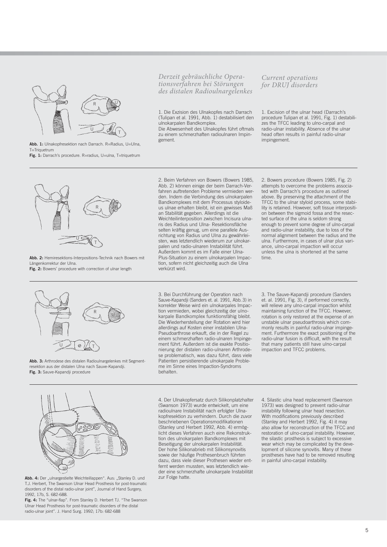

**Abb. 1:** Ulnakopfresektion nach Darrach. R=Radius, U=Ulna, T=Triquetrum **Fig. 1:** Darrach's procedure. R=radius, U=ulna, T=triquetrum *Derzeit gebräuchliche Operationsverfahren bei Störungen des distalen Radioulnargelenkes*

1. Die Exzision des Ulnakopfes nach Darrach (Tulipan et al. 1991, Abb. 1) destabilisiert den ulnokarpalen Bandkomplex. Die Abwesenheit des Ulnakopfes führt oftmals zu einem schmerzhaften radioulnaren Impin-

gement.

*Current operations for DRUJ disorders*

1. Excision of the ulnar head (Darrach's procedure Tulipan et al. 1991, Fig. 1) destabilizes the TFCC leading to ulno-carpal and radio-ulnar instability. Absence of the ulnar head often results in painful radio-ulnar impingement.



**Abb. 2:** Hemiresektions-Interpositions-Technik nach Bowers mit Längenkorrektur der Ulna.

**Fig. 2:** Bowers' procedure with correction of ulnar length

2. Beim Verfahren von Bowers (Bowers 1985, Abb. 2) können einige der beim Darrach-Verfahren auftretenden Probleme vermieden werden. Indem die Verbindung des ulnokarpalen Bandkomplexes mit dem Processus styloideus ulnae erhalten bleibt, ist ein gewisses Maß an Stabilität gegeben. Allerdings ist die Weichteilinterposition zwischen Incisura ulnaris des Radius und Ulna- Resektionsfläche selten kräftig genug, um eine parallele Ausrichtung von Radius und Ulna zu gewährleisten, was letztendlich wiederum zur ulnokarpalen und radio-ulnaren Instabilität führt. Außerdem kommt es im Falle einer Ulna-Plus-Situation zu einem ulnokarpalen Impaction, sofern nicht gleichzeitig auch die Ulna verkürzt wird.

2. Bowers procedure (Bowers 1985, Fig. 2) attempts to overcome the problems associated with Darrach's procedure as outlined above. By preserving the attachment of the TFCC to the ulnar styloid process, some stability is retained. However, soft tissue interposition between the sigmoid fossa and the resected surface of the ulna is seldom strong enough to prevent some degree of ulno-carpal and radio-ulnar instability, due to loss of the normal alignment between the radius and the ulna. Furthermore, in cases of ulnar plus variance, ulno-carpal impaction will occur unless the ulna is shortened at the same time.



**Abb. 3:** Arthrodese des distalen Radioulnargelenkes mit Segment resektion aus der distalen Ulna nach Sauve-Kapandji.

**Fig. 3:** Sauve-Kapandji procedure

Sauve-Kapandji (Sanders et. al. 1991, Abb. 3) in korrekter Weise wird ein ulnokarpales Impaction vermieden, wobei gleichzeitig der ulnokarpale Bandkomplex funktionsfähig bleibt. Die Wiederherstellung der Rotation wird hier allerdings auf Kosten einer instabilen Ulna-Pseudoarthrose erkauft, die in der Regel zu einem schmerzhaften radio-ulnaren Impingement führt. Außerdem ist die exakte Positionierung der distalen radio-ulnaren Arthrodese problematisch, was dazu führt, dass viele Patienten persistierende ulnokarpale Probleme im Sinne eines Impaction-Syndroms behalten.

3. Bei Durchführung der Operation nach

3. The Sauve-Kapandji procedure (Sanders et. al. 1991, Fig. 3), if performed correctly, will relieve any ulno-carpal impaction whilst maintaining function of the TFCC. However, rotation is only restored at the expense of an unstable ulnar pseudoarthrosis which commonly results in painful radio-ulnar impingement. Furthermore the exact positioning of the radio-ulnar fusion is difficult, with the result that many patients still have ulno-carpal impaction and TFCC problems.



Abb. 4: Der "ulnargestielte Weichteillappen". Aus: "Stanley D. und T.J. Herbert, The Swanson Ulnar Head Prosthesis for post-traumatic disorders of the distal radio-ulnar joint", Journal of Hand Surgery, 1992, 17b, S. 682-688.

**Fig. 4:** The "ulnar-flap". From Stanley D. Herbert TJ. "The Swanson Ulnar Head Prosthesis for post-traumatic disorders of the distal radio-ulnar joint". J. Hand Surg. 1992; 17b: 682-688

4. Der Ulnakopfersatz durch Silikonplatzhalter (Swanson 1973) wurde entwickelt, um eine radioulnare Instabilität nach erfolgter Ulnakopfresektion zu verhindern. Durch die zuvor beschriebenen Operationsmodifikationen (Stanley und Herbert 1992, Abb. 4) ermöglicht dieses Verfahren auch eine Rekonstruktion des ulnokarpalen Bandkomplexes mit Beseitigung der ulnokarpalen Instabilität. Der hohe Silikonabrieb mit Silikonsynovitis sowie der häufige Prothesenbruch führten dazu, dass viele dieser Prothesen wieder entfernt werden mussten, was letztendlich wie der eine schmerzhafte ulnokarpale Instabilität zur Folge hatte.

4. Silastic ulna head replacement (Swanson 1973) was designed to prevent radio-ulnar instability following ulnar head resection. With modifications previously described (Stanley and Herbert 1992, Fig. 4) it may also allow for reconstruction of the TFCC and restoration of ulno-carpal instability. However, the silastic prosthesis is subject to excessive wear which may be complicated by the development of silicone synovitis. Many of these prostheses have had to be removed resulting in painful ulno-carpal instability.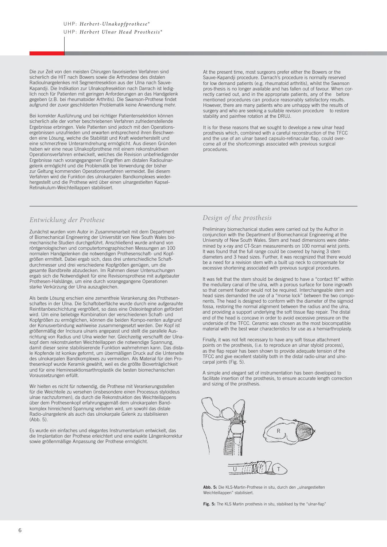Die zur Zeit von den meisten Chirurgen favorisierten Verfahren sind sicherlich die HIT nach Bowers sowie die Arthrodese des distalen Radioulnargelenkes mit Segmentresektion aus der Ulna nach Sauve-Kapandji. Die Indikation zur Ulnakopfresektion nach Darrach ist lediglich noch für Patienten mit geringen Anforderungen an das Handgelenk gegeben (z.B. bei rheumatoider Arthritis). Die Swanson-Prothese findet aufgrund der zuvor geschilderten Problematik keine Anwendung mehr.

Bei korrekter Ausführung und bei richtiger Patientenselektion können sicherlich alle der vorher beschriebenen Verfahren zufriedenstellende Ergebnisse erbringen. Viele Patienten sind jedoch mit den Operationsergebnissen unzufrieden und erwarten entsprechend ihren Beschwerden eine Lösung, welche die Stabilität und Kraft wiederherstellt und eine schmerzfreie Unterarmdrehung ermöglicht. Aus diesen Gründen haben wir eine neue Ulnakopfprothese mit einem rekonstruktiven Operationsverfahren entwickelt, welches die Revision unbefriedigender Ergebnisse nach vorangegangenen Eingriffen am distalen Radioulnargelenk ermöglicht und die Problematik bei Verwendung der bisher zur Geltung kommenden Operationsverfahren vermeidet. Bei diesem Verfahren wird die Funktion des ulnokarpalen Bandkomplexes wiederhergestellt und die Prothese wird über einen ulnargestielten Kapsel-Retinakulum-Weichteillappen stabilisiert.

# *Entwicklung der Prothese*

Zunächst wurden vom Autor in Zusammenarbeit mit dem Department of Biomechanical Engineering der Universität von New South Wales biomechanische Studien durchgeführt. Anschließend wurde anhand von röntgenologischen und computertomographischen Messungen an 100 normalen Handgelenken die notwendigen Prothesenschaft- und Kopfgrößen ermittelt. Dabei ergab sich, dass drei unterschiedliche Schaftdurchmesser und drei verschiedene Kopfgrößen genügen, um die gesamte Bandbreite abzudecken. Im Rahmen dieser Untersuchungen ergab sich die Notwendigkeit für eine Revisionsprothese mit aufgebauter Prothesen-Halslänge, um eine durch vorangegangene Operationen starke Verkürzung der Ulna auszugleichen.

Als beste Lösung erschien eine zementfreie Verankerung des Prothesenschaftes in der Ulna. Die Schaftoberfläche wurde durch eine aufgerauhte Reintitanbeschichtung vergrößert, so dass eine Osteointegration gefördert wird. Um eine beliebige Kombination der verschiedenen Schaft- und Kopfgrößen zu ermöglichen, können die beiden Kompo-nenten aufgrund der Konusverbindung wahlweise zusammengesetzt werden. Der Kopf ist größenmäßig der Incisura ulnaris angepasst und stellt die parallele Ausrichtung von Radius und Ulna wieder her. Gleichzeitig verschafft der Ulnakopf dem rekonstruierten Weichteillappen die notwendige Spannung, damit dieser seine stabilisierende Funktion wahrnehmen kann. Das distale Kopfende ist konkav geformt, um übermäßigen Druck auf die Unterseite des ulnokarpalen Bandkomplexes zu vermeiden. Als Material für den Prothesenkopf wurde Keramik gewählt, weil es die größte Bioverträglichkeit und für eine Hemiresektionsarthroplastik die besten biomechanischen Voraussetzungen erfüllt.

Wir hielten es nicht für notwendig, die Prothese mit Verankerungsstellen für die Weichteile zu versehen (insbesondere einen Processus styloideus ulnae nachzuformen), da durch die Rekonstruktion des Weichteillappens über dem Prothesenkopf erfahrungsgemäß dem ulnokarpalen Bandkomplex hinreichend Spannung verliehen wird, um sowohl das distale Radio-ulnargelenk als auch das ulnokarpale Gelenk zu stabilisieren (Abb. 5).

Es wurde ein einfaches und elegantes Instrumentarium entwickelt, das die Implantation der Prothese erleichtert und eine exakte Längenkorrektur sowie größenmäßige Anpassung der Prothese ermöglicht.

At the present time, most surgeons prefer either the Bowers or the Sauve-Kapandji procedure. Darrach's procedure is normally reserved for low demand patients (e.g. rheumatoid arthritis), whilst the Swanson pros-thesis is no longer available and has fallen out of favour. When correctly carried out, and in the appropriate patients, any of the before mentioned procedures can produce reasonably satisfactory results. However, there are many patients who are unhappy with the results of surgery and who are seeking a suitable revision procedure to restore stability and painfree rotation at the DRUJ.

It is for these reasons that we sought to develope a new ulnar head prosthesis which, combined with a careful reconstruction of the TFCC and the use of an ulnar based capsulo-retinacular flap, could overcome all of the shortcomings associated with previous surgical procedures.

# *Design of the prosthesis*

Preliminary biomechanical studies were carried out by the Author in conjunction with the Department of Biomechanical Engineering at the University of New South Wales. Stem and head dimensions were determined by x-ray and CT-Scan measurements on 100 normal wrist joints. It was found that the full range could be covered by having 3 stem diameters and 3 head sizes. Further, it was recognized that there would be a need for a revision stem with a built up neck to compensate for excessive shortening associated with previous surgical procedures.

It was felt that the stem should be designed to have a "contact fit" within the medullary canal of the ulna, with a porous surface for bone ingrowth so that cement fixation would not be required. Interchangeable stem and head sizes demanded the use of a "morse lock" between the two components. The head is designed to conform with the diameter of the sigmoid fossa, restoring the normal alignment between the radius and the ulna, and providing a support underlying the soft tissue flap repair. The distal end of the head is concave in order to avoid excessive pressure on the underside of the TFCC. Ceramic was chosen as the most biocompatible material with the best wear characteristics for use as a hemiarthroplasty.

Finally, it was not felt necessary to have any soft tissue attachment points on the prosthesis, (i.e. to reproduce an ulnar styloid process), as the flap repair has been shown to provide adequate tension of the TFCC and give excellent stability both in the distal radio-ulnar and ulnocarpal joints (Fig. 5).

A simple and elegant set of instrumentation has been developed to facilitate insertion of the prosthesis, to ensure accurate length correction and sizing of the prosthesis.



Abb. 5: Die KLS-Martin-Prothese in situ, durch den "ulnargestielten Weichteillappen" stabilisiert.

Fig. 5: The KLS Martin prosthesis in situ, stabilised by the "ulnar-flap"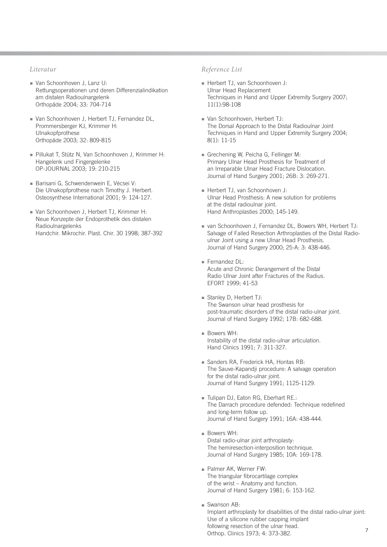- Van Schoonhoven J, Lanz U: Rettungsoperationen und deren Differenzialindikation am distalen Radioulnargelenk Orthopäde 2004; 33: 704-714
- Van Schoonhoven J, Herbert TJ, Fernandez DL, Prommersberger KJ, Krimmer H: Ulnakopfprothese Orthopäde 2003; 32: 809-815
- Pillukat T, Stütz N, Van Schoonhoven J, Krimmer H: Hangelenk und Fingergelenke OP-JOURNAL 2003; 19: 210-215
- Barisani G, Schwendenwein E, Vécsei V: Die Ulnakopfprothese nach Timothy J. Herbert. Osteosynthese International 2001; 9: 124-127.
- Van Schoonhoven J, Herbert TJ, Krimmer H: Neue Konzepte der Endoprothetik des distalen Radioulnargelenks Handchir. Mikrochir. Plast. Chir. 30 1998; 387-392

# *Literatur Reference List*

- Herbert TJ, van Schoonhoven J: Ulnar Head Replacement Techniques in Hand and Upper Extremity Surgery 2007; 11(1):98-108
- Van Schoonhoven, Herbert TJ: The Dorsal Approach to the Distal Radioulnar Joint Techniques in Hand and Upper Extremity Surgery 2004; 8(1): 11-15
- Grechening W, Peicha G, Fellinger M: Primary Ulnar Head Prosthesis for Treatment of an Irreparable Ulnar Head Fracture Dislocation. Journal of Hand Surgery 2001; 26B: 3: 269-271.
- Herbert TJ, van Schoonhoven J: Ulnar Head Prosthesis: A new solution for problems at the distal radioulnar joint. Hand Anthroplasties 2000; 145-149.
- van Schoonhoven J, Fernandez DL, Bowers WH, Herbert TJ: Salvage of Failed Resection Arthroplasties of the Distal Radioulnar Joint using a new Ulnar Head Prosthesis. Journal of Hand Surgery 2000; 25-A: 3: 438-446.
- Fernandez DL: Acute and Chronic Derangement of the Distal Radio Ulnar Joint after Fractures of the Radius. EFORT 1999; 41-53
- Stanley D, Herbert TJ: The Swanson ulnar head prosthesis for post-traumatic disorders of the distal radio-ulnar joint. Journal of Hand Surgery 1992; 17B: 682-688.
- Bowers WH: Instability of the distal radio-ulnar articulation. Hand Clinics 1991; 7: 311-327.
- Sanders RA, Frederick HA, Hontas RB: The Sauve-Kapandji procedure: A salvage operation for the distal radio-ulnar joint. Journal of Hand Surgery 1991; 1125-1129.
- Tulipan DJ, Eaton RG, Eberhart RE.: The Darrach procedure defended: Technique redefined and long-term follow up. Journal of Hand Surgery 1991; 16A: 438-444.
- Bowers WH: Distal radio-ulnar joint arthroplasty: The hemiresection-interposition technique. Journal of Hand Surgery 1985; 10A: 169-178.
- Palmer AK, Werner FW: The triangular fibrocartilage complex of the wrist – Anatomy and function. Journal of Hand Surgery 1981; 6: 153-162.
- Swanson AB: Implant arthroplasty for disabilities of the distal radio-ulnar joint: Use of a silicone rubber capping implant following resection of the ulnar head. Orthop. Clinics 1973; 4: 373-382.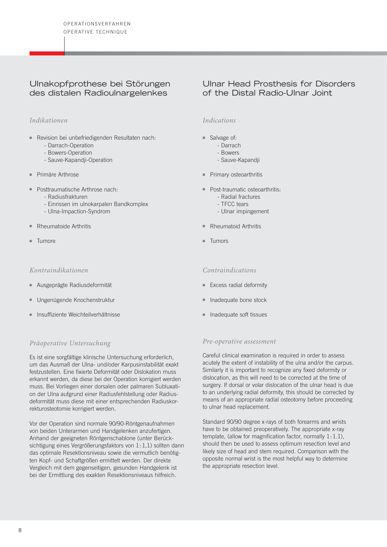# Ulnakopfprothese bei Störungen des distalen Radioulnargelenkes

# *Indikationen*

- Revision bei unbefriedigenden Resultaten nach:
	- Darrach-Operation
	- Bowers-Operation
	- Sauve-Kapandji-Operation
- Primäre Arthrose
- Posttraumatische Arthrose nach:
	- Radiusfrakturen
	- Einrissen im ulnokarpalen Bandkomplex
	- Ulna-Impaction-Syndrom
- Rheumatoide Arthritis
- Tumore

#### *Kontraindikationen*

- Ausgeprägte Radiusdeformität
- Ungenügende Knochenstruktur
- Insuffiziente Weichteilverhältnisse

# *Präoperative Untersuchung*

Es ist eine sorgfältige klinische Untersuchung erforderlich, um das Ausmaß der Ulna- und/oder Karpusinstabilität exakt festzustellen. Eine fixierte Deformität oder Dislokation muss erkannt werden, da diese bei der Operation korrigiert werden muss. Bei Vorliegen einer dorsalen oder palmaren Subluxation der Ulna aufgrund einer Radiusfehlstellung oder Radiusdeformität muss diese mit einer entsprechenden Radiuskorrekturosteotomie korrigiert werden.

Vor der Operation sind normale 90/90-Röntgenaufnahmen von beiden Unterarmen und Handgelenken anzufertigen. Anhand der geeigneten Röntgenschablone (unter Berücksichtigung eines Vergrößerungsfaktors von 1:1,1) sollten dann das optimale Resektionsniveau sowie die vermutlich benötigten Kopf- und Schaftgrößen ermittelt werden. Der direkte Vergleich mit dem gegenseitigen, gesunden Handgelenk ist bei der Ermittlung des exakten Resektionsniveaus hilfreich.

# Ulnar Head Prosthesis for Disorders of the Distal Radio-Ulnar Joint

# *Indications*

- Salvage of:
	- Darrach
	- Bowers
	- Sauve-Kapandji
- Primary osteoarthritis
- Post-traumatic osteoarthritis:
	- Radial fractures
	- TFCC tears
	- Ulnar impingement
- Rheumatoid Arthritis
- Tumors

#### *Contraindications*

- Excess radial deformity
- Inadequate bone stock
- Inadequate soft tissues

#### *Pre-operative assessment*

Careful clinical examination is required in order to assess acutely the extent of instability of the ulna and/or the carpus. Similarly it is important to recognize any fixed deformity or dislocation, as this will need to be corrected at the time of surgery. If dorsal or volar dislocation of the ulnar head is due to an underlying radial deformity, this should be corrected by means of an appropriate radial osteotomy before proceeding to ulnar head replacement.

Standard 90/90 degree x-rays of both forearms and wrists have to be obtained preoperatively. The appropriate x-ray template, (allow for magnification factor, normally 1:1.1), should then be used to assess optimum resection level and likely size of head and stem required. Comparison with the opposite normal wrist is the most helpful way to determine the appropriate resection level.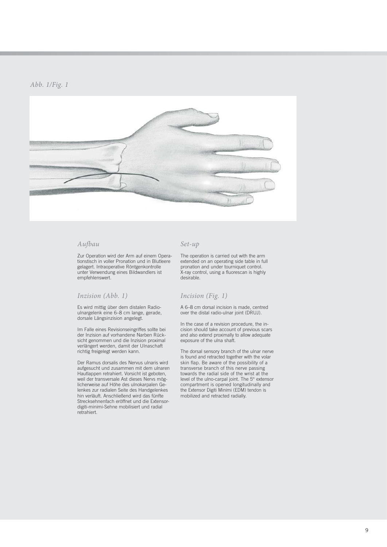

#### *Aufbau*

Zur Operation wird der Arm auf einem Operationstisch in voller Pronation und in Blutleere gelagert. Intraoperative Röntgenkontrolle unter Verwendung eines Bildwandlers ist empfehlenswert.

#### *Inzision (Abb. 1)*

Es wird mittig über dem distalen Radioulnargelenk eine 6–8 cm lange, gerade, dorsale Längsinzision angelegt.

Im Falle eines Revisionseingriffes sollte bei der Inzision auf vorhandene Narben Rücksicht genommen und die Inzision proximal verlängert werden, damit der Ulnaschaft richtig freigelegt werden kann.

Der Ramus dorsalis des Nervus ulnaris wird aufgesucht und zusammen mit dem ulnaren Hautlappen retrahiert. Vorsicht ist geboten, weil der transversale Ast dieses Nervs möglicherweise auf Höhe des ulnokarpalen Gelenkes zur radialen Seite des Handgelenkes hin verläuft. Anschließend wird das fünfte Strecksehnenfach eröffnet und die Extensordigiti-minimi-Sehne mobilisiert und radial retrahiert.

#### *Set-up*

The operation is carried out with the arm extended on an operating side table in full pronation and under tourniquet control. X-ray control, using a fluorescan is highly desirable.

#### *Incision (Fig. 1)*

A 6–8 cm dorsal incision is made, centred over the distal radio-ulnar joint (DRUJ).

In the case of a revision procedure, the incision should take account of previous scars and also extend proximally to allow adequate exposure of the ulna shaft.

The dorsal sensory branch of the ulnar nerve is found and retracted together with the volar skin flap. Be aware of the possibility of a trans verse branch of this nerve passing towards the radial side of the wrist at the level of the ulno-carpal joint. The 5<sup>th</sup> extensor compartment is opened longitudinally and the Extensor Digiti Minimi (EDM) tendon is mobilized and retracted radially.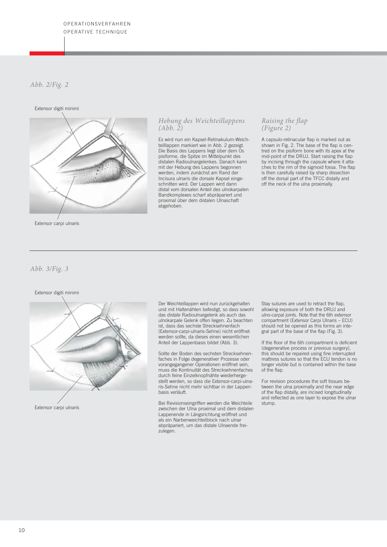# *Abb. 2/Fig. 2*

#### Extensor digiti minimi



Extensor carpi ulnaris

#### *Hebung des Weichteillappens (Abb. 2)*

Es wird nun ein Kapsel-Retinakulum-Weichteilllappen markiert wie in Abb. 2 gezeigt. Die Basis des Lappens liegt über dem Os pisiforme, die Spitze im Mittelpunkt des distalen Radioulnargelenkes. Danach kann mit der Hebung des Lappens begonnen werden, indem zunächst am Rand der Incisura ulnaris die dorsale Kapsel eingeschnitten wird. Der Lappen wird dann distal vom dorsalen Anteil des ulnokarpalen Bandkomplexes scharf abpräpariert und proximal über dem distalen Ulnaschaft abgehoben.

#### *Raising the flap (Figure 2)*

A capsulo-retinacular flap is marked out as shown in Fig. 2. The base of the flap is centred on the pisiform bone with its apex at the mid-point of the DRUJ. Start raising the flap by incising through the capsule where it attaches to the rim of the sigmoid fossa. The flap is then carefully raised by sharp dissection off the dorsal part of the TFCC distally and off the neck of the ulna proximally.

#### *Abb. 3/Fig. 3*



Der Weichteillappen wird nun zurückgehalten und mit Haltenähten befestigt, so dass sowohl das distale Radioulnargelenk als auch das ulnokarpale Gelenk offen liegen. Zu beachten ist, dass das sechste Strecksehnenfach (Extensor-carpi-ulnaris-Sehne) nicht eröffnet werden sollte, da dieses einen wesentlichen Anteil der Lappenbasis bildet (Abb. 3).

Sollte der Boden des sechsten Strecksehnenfaches in Folge degenerativer Prozesse oder vorangegangener Operationen eröffnet sein, muss die Kontinuität des Strecksehnenfaches durch feine Einzelknopfnähte wiederhergestellt werden, so dass die Extensor-carpi-ulnaris-Sehne nicht mehr sichtbar in der Lappenbasis verläuft.

Bei Revisionseingriffen werden die Weichteile zwischen der Weichteile als auf der Extensor Carpi und der Ulna proximal und dem distalen stump.<br>Extensor carpi ulnaris and dem distalen stump in the stump variable stump zwischen der Ulna proximal und dem distalen Lappenende in Längsrichtung eröffnet und als ein Narbenweichteilblock nach ulnar abpräpariert, um das distale Ulnaende freizulegen.

Stay sutures are used to retract the flap, allowing exposure of both the DRUJ and ulno-carpal joints. Note that the 6th extensor compartment (Extensor Carpi Ulnaris – ECU) should not be opened as this forms an integral part of the base of the flap (Fig. 3).

If the floor of the 6th compartment is deficient (degenerative process or previous surgery), this should be repaired using fine interrupted mattress sutures so that the ECU tendon is no longer visible but is contained within the base of the flap.

For revision procedures the soft tissues be tween the ulna proximally and the near edge of the flap distally, are incised longitudinally and reflected as one layer to expose the ulnar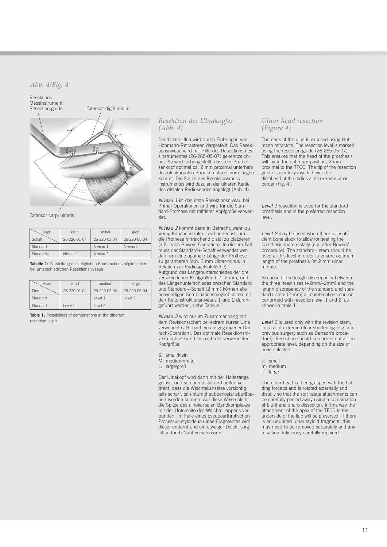#### *Abb. 4/Fig. 4*



Extensor carpi ulnaris

| Kopf      | klein        | mittel       | groß         |
|-----------|--------------|--------------|--------------|
| Schaft    | 26-220-01-04 | 26-220-03-04 | 26-220-05-04 |
| Standard  |              | Niveau 1     | Niveau 2     |
| Standard+ | Niveau 1     | Niveau 2     |              |

**Tabelle 1:** Darstellung der möglichen Kombinationsmöglichkeiten bei unterschiedlichen Resektionsniveaus

| Head        | small        | medium       | large        |
|-------------|--------------|--------------|--------------|
| <b>Stem</b> | 26-220-01-04 | 26-220-03-04 | 26-220-05-04 |
| Standard    |              | Level 1      | level 2      |
| Standard+   | I evel 1     | Level 2      |              |

**Table 1:** Possibilities of combinations at the different resection levels

#### *Resektion des Ulnakopfes (Abb. 4)*

Die distale Ulna wird durch Einbringen von Hohmann-Retraktoren dargestellt. Das Resektionsniveau wird mit Hilfe des Resektionsmessinstrumentes (26-265-05-07) gekennzeichnet. So wird sichergestellt, dass der Prothesenkopf optimal ca. 2 mm proximal unterhalb des ulnokarpalen Bandkomplexes zum Liegen kommt. Die Spitze des Resektionsmess instrumentes wird dazu an der ulnaren Kante des distalen Radiusendes angelegt (Abb. 4).

*Niveau 1* ist das erste Resektionsniveau bei Primär-Operationen und wird für die Standard-Prothese mit mittlerer Kopfgröße verwendet.

*Niveau 2* kommt dann in Betracht, wenn zu wenig Knochenstruktur vorhanden ist, um die Prothese hinreichend distal zu platzieren (z.B. nach Bowers-Operation). In diesem Fall muss der Standard+-Schaft verwendet werden, um eine optimale Länge der Prothese zu garantieren (d.h. 2 mm Ulnar-minus in Relation zur Radiusgelenkfläche). Aufgrund des Längenunterschiedes der drei verschiedenen Kopfgrößen (+/– 2 mm) und des Längenunterschiedes zwischen Standard und Standard+-Schaft (2 mm) können alle notwendigen Kombinationsmöglichkeiten mit den Rekonstruktionsniveaus 1 und 2 durchgeführt werden, siehe Tabelle 1.

*Niveau 3* wird nur im Zusammenhang mit dem Revisionsschaft bei extrem kurzer Ulna verwendet (z.B. nach vorausgegangener Darrach-Operation). Das optimale Resektionsniveau richtet sich hier nach der verwendeten Kopfgröße.

S: small/klein

M: medium/mittel

L: large/groß

Der Ulnakopf wird dann mit der Haltezange gefasst und so nach distal und außen ge dreht, dass die Weichteilansätze vorsichtig teils scharf, teils stumpf subperiostal abpräpariert werden können. Auf diese Weise bleibt die Spitze des ulnokarpalen Bandkomplexes mit der Unterseite des Weichteillappens verbunden. Im Falle eines pseudoarthrotischen Processus-styloideus-ulnae-Fragmentes wird dieser entfernt und ein etwaiger Defekt sorgfältig durch Naht verschlossen.

#### *Ulnar head resection (Figure 4)*

The neck of the ulna is exposed using Hohmann retractors. The resection level is marked using the resection guide (26-265-05-07). This ensures that the head of the prosthesis will lay in the optimum position, 2 mm proximal to the TFCC. The tip of the resection guide is carefully inserted over the distal end of the radius at its extreme ulnar border (Fig. 4).

*Level 1* resection is used for the standard prosthesis and is the preferred resection .<br>Ievel

*Level 2* may be used when there is insufficient bone stock to allow for seating the prosthesis more distally (e.g. after Bowers' procedure). The standard+ stem should be used at this level in order to ensure optimum length of the prosthesis (at 2 mm ulnar minus).

Because of the length discrepancy between the three head sizes (+2mm/–2mm) and the length discrepancy of the standard and standard+ stem (2 mm) all combinations can be performed with resection level 1 and 2, as shown in table 1.

*Level 3* is used only with the revision stem, in case of extreme ulnar shortening (e.g. after previous surgery such as Darrach's procedure). Resection should be carried out at the appropriate level, depending on the size of head selected.

s: small

The ulnar head is then grasped with the holding forceps and is rotated externally and distally so that the soft tissue attachments can be carefully peeled away using a combination of blunt and sharp dissection. In this way the attachment of the apex of the TFCC to the underside of the flap will be preserved. If there is an ununited ulnar styloid fragment, this may need to be removed separately and any resulting deficiency carefully repaired.

m: medium l: large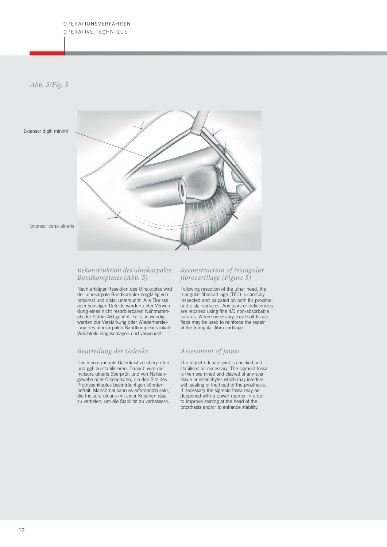*Abb. 5/Fig. 5*

Extensor digiti minimi



Extensor carpi ulnaris

#### *Rekonstruktion des ulnokarpalen Bandkomplexes (Abb. 5)*

Nach erfolgter Resektion des Ulnakopfes wird der ulnokarpale Bandkomplex sorgfältig von proximal und distal untersucht. Alle Einrisse oder sonstigen Defekte werden unter Verwendung eines nicht resorbierbaren Nahtmaterials der Stärke 4/0 genäht. Falls notwendig, werden zur Verstärkung oder Wiederherstellung des ulnokarpalen Bandkomplexes lokale Weichteile eingeschlagen und verwendet.

# *Beurteilung der Gelenke*

Das lunotriquetrale Gelenk ist zu überprüfen und ggf. zu stabilisieren. Danach wird die Incisura ulnaris überprüft und von Narbengewebe oder Osteophyten, die den Sitz des Prothesenkopfes beeinträchtigen könnten, befreit. Manchmal kann es erforderlich sein, die Incisura ulnaris mit einer Knochenfräse zu vertiefen, um die Stabilität zu verbessern.

## *Reconstruction of triangular fibrocartilage (Figure 5)*

Following resection of the ulnar head, the triangular fibrocartilage (TFC) is carefully inspected and palpated on both it's proximal and distal surfaces. Any tears or deficiencies are repaired using fine 4/0 non-absorbable sutures. Where necessary, local soft tissue flaps may be used to reinforce the repair of the triangular fibro cartilage.

# *Assessment of joints*

The triquetro-lunate joint is checked and stabilised as necessary. The sigmoid fossa is then examined and cleared of any scar tissue or osteophytes which may interfere with seating of the head of the prosthesis. If necessary the sigmoid fossa may be deepened with a power reamer in order to improve seating at the head of the prosthesis and/or to enhance stability.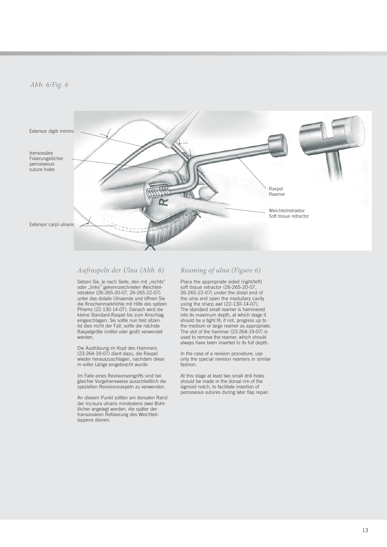

#### *Aufraspeln der Ulna (Abb. 6)*

Setzen Sie, je nach Seite, den mit "rechts" oder "links" gekennzeichneten Weichteilretraktor (26-265-20-07, 26-265-22-07) unter das distale Ulnaende und öffnen Sie die Knochenmarkhöhle mit Hilfe des spitzen Pfriems (22-130-14-07). Danach wird die kleine Standard-Raspel bis zum Anschlag eingeschlagen. Sie sollte nun fest sitzen. Ist dies nicht der Fall, sollte die nächste Raspelgröße (mittel oder groß) verwendet werden.

Die Ausfräsung im Kopf des Hammers (23-264-19-07) dient dazu, die Raspel wieder herauszuschlagen, nachdem diese in voller Länge eingebracht wurde.

Im Falle eines Revisionseingriffs sind bei gleicher Vorgehensweise ausschließlich die speziellen Revisionsraspeln zu verwenden.

An diesem Punkt sollten am dorsalen Rand der Incisura ulnaris mindestens zwei Bohrlöcher angelegt werden, die später der transossären Refixierung des Weichteillappens dienen.

#### *Reaming of ulna (Figure 6)*

Place the appropriate sided (right/left) soft tissue retractor (26-265-20-07, 26-265-22-07) under the distal end of the ulna and open the medullary cavity using the sharp awl (22-130-14-07). The standard small reamer is hammered into its maximum depth, at which stage it should be a tight fit; if not, progress up to the medium or large reamer as appropriate. The slot of the hammer (23-264-19-07) is used to remove the reamer, which should always have been inserted to its full depth.

In the case of a revision procedure, use only the special revision reamers in similar fashion.

At this stage at least two small drill holes should be made in the dorsal rim of the sigmoid notch, to facilitate insertion of perosseous sutures during later flap repair.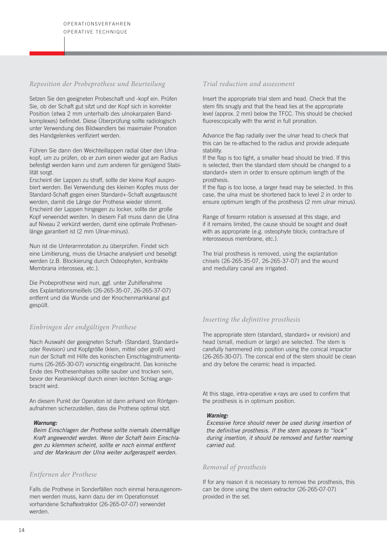#### *Reposition der Probeprothese und Beurteilung*

Setzen Sie den geeigneten Probeschaft und -kopf ein. Prüfen Sie, ob der Schaft gut sitzt und der Kopf sich in korrekter Position (etwa 2 mm unterhalb des ulnokarpalen Bandkomplexes) befindet. Diese Überprüfung sollte radiologisch unter Verwendung des Bildwandlers bei maximaler Pronation des Handgelenkes verifiziert werden.

Führen Sie dann den Weichteillappen radial über den Ulnakopf, um zu prüfen, ob er zum einen wieder gut am Radius befestigt werden kann und zum anderen für genügend Stabilität sorgt.

Erscheint der Lappen zu straff, sollte der kleine Kopf ausprobiert werden. Bei Verwendung des kleinen Kopfes muss der Standard-Schaft gegen einen Standard+-Schaft ausgetauscht werden, damit die Länge der Prothese wieder stimmt. Erscheint der Lappen hingegen zu locker, sollte der große Kopf verwendet werden. In diesem Fall muss dann die Ulna auf Niveau 2 verkürzt werden, damit eine optimale Prothesen länge garantiert ist (2 mm Ulnar-minus).

Nun ist die Unterarmrotation zu überprüfen. Findet sich eine Limitierung, muss die Ursache analysiert und beseitigt werden (z.B. Blockierung durch Osteophyten, kontrakte Membrana interossea, etc.).

Die Probeprothese wird nun, ggf. unter Zuhilfenahme des Explantationsmeißels (26-265-35-07, 26-265-37-07) entfernt und die Wunde und der Knochenmarkkanal gut gespült.

# *Einbringen der endgültigen Prothese*

Nach Auswahl der geeigneten Schaft- (Standard, Standard+ oder Revision) und Kopfgröße (klein, mittel oder groß) wird nun der Schaft mit Hilfe des konischen Einschlaginstrumentariums (26-265-30-07) vorsichtig eingebracht. Das konische Ende des Prothesenhalses sollte sauber und trocken sein, bevor der Keramikkopf durch einen leichten Schlag angebracht wird.

An diesem Punkt der Operation ist dann anhand von Röntgenaufnahmen sicherzustellen, dass die Prothese optimal sitzt.

#### *Warnung:*

*Beim Einschlagen der Prothese sollte niemals übermäßige Kraft angewendet werden. Wenn der Schaft beim Einschla gen zu klemmen scheint, sollte er noch einmal entfernt und der Markraum der Ulna weiter aufgeraspelt werden.*

#### *Entfernen der Prothese*

Falls die Prothese in Sonderfällen noch einmal herausgenommen werden muss, kann dazu der im Operationsset vorhandene Schaftextraktor (26-265-07-07) verwendet werden.

#### *Trial reduction and assessment*

Insert the appropriate trial stem and head. Check that the stem fits snugly and that the head lies at the appropriate level (approx. 2 mm) below the TFCC. This should be checked fluorescopically with the wrist in full pronation.

Advance the flap radially over the ulnar head to check that this can be re-attached to the radius and provide adequate stability.

If the flap is too tight, a smaller head should be tried. If this is selected, then the standard stem should be changed to a standard+ stem in order to ensure optimum length of the prosthesis.

If the flap is too loose, a larger head may be selected. In this case, the ulna must be shortened back to level 2 in order to ensure optimum length of the prosthesis (2 mm ulnar minus).

Range of forearm rotation is assessed at this stage, and if it remains limited, the cause should be sought and dealt with as appropriate (e.g. osteophyte block; contracture of interosseous membrane, etc.).

The trial prosthesis is removed, using the explantation chisels (26-265-35-07, 26-265-37-07) and the wound and medullary canal are irrigated.

# *Inserting the definitive prosthesis*

The appropriate stem (standard, standard+ or revision) and head (small, medium or large) are selected. The stem is carefully hammered into position using the conical impactor (26-265-30-07). The conical end of the stem should be clean and dry before the ceramic head is impacted.

At this stage, intra-operative x-rays are used to confirm that the prosthesis is in optimum position.

#### *Warning:*

*Excessive force should never be used during insertion of the definitive prosthesis. If the stem appears to "lock" during insertion, it should be removed and further reaming carried out.*

#### *Removal of prosthesis*

If for any reason it is necessary to remove the prosthesis, this can be done using the stem extractor (26-265-07-07) provided in the set.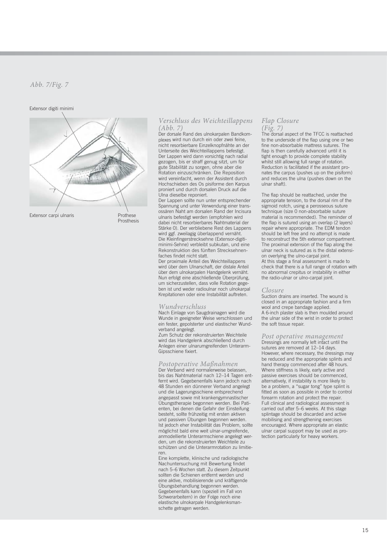#### Extensor digiti minimi



Extensor carpi ulnaris

Prothese Prosthesis

# *Verschluss des Weichteillappens (Abb. 7)* Der dorsale Rand des ulnokarpalen Bandkom-

plexes wird nun durch ein oder zwei feine, nicht resorbierbare Einzelknopfnähte an der Unterseite des Weichteillappens befestigt. Der Lappen wird dann vorsichtig nach radial gezogen, bis er straff genug sitzt, um für gute Stabilität zu sorgen, ohne aber die Rotation einzuschränken. Die Reposition wird vereinfacht, wenn der Assistent durch Hochschieben des Os pisiforme den Karpus proniert und durch dorsalen Druck auf die Ulna dieselbe reponiert.

Der Lappen sollte nun unter entsprechender Spannung und unter Verwendung einer trans -ossären Naht am dorsalen Rand der Incisura ulnaris befestigt werden (empfohlen wird dabei nicht resorbierbares Nahtmaterial der Stärke 0). Der verbliebene Rest des Lappens wird ggf. zweilagig überlappend vernäht. Die Kleinfingerstrecksehne (Extensor-digitiminimi-Sehne) verbleibt subkutan, und eine Rekonstruktion des fünften Strecksehnen-<br>faches findet nicht statt.

Der proximale Anteil des Weichteillappens wird über dem Ulnarschaft, der distale Anteil über dem ulnokarpalen Handgelenk vernäht. Nun erfolgt eine abschließende Überprüfung, um sicherzustellen, dass volle Rotation gegeben ist und weder radioulnar noch ulnokarpal Krepitationen oder eine Instabilität auftreten.

#### *Wundverschluss*

Nach Einlage von Saugdrainagen wird die Wunde in geeigneter Weise verschlossen und ein fester, gepolsterter und elastischer Wundverband angelegt.

Zum Schutz der rekonstruierten Weichteile wird das Handgelenk abschließend durch Anlegen einer ulnarumgreifenden Unterarm-Gipsschiene fixiert.

#### *Postoperative Maßnahmen*

Der Verband wird normalerweise belassen, bis das Nahtmaterial nach 12–14 Tagen entfernt wird. Gegebenenfalls kann jedoch nach 48 Stunden ein dünnerer Verband angelegt und die Lagerungsschiene entsprechend angepasst sowie mit krankengymnastischer Übungstherapie begonnen werden. Bei Patienten, bei denen die Gefahr der Einsteifung besteht, sollte frühzeitig mit ersten aktiven und passiven Übungen begonnen werden. Ist jedoch eher Instabilität das Problem, sollte möglichst bald eine weit ulnar-umgreifende, anmodellierte Unterarmschiene angelegt werden, um die rekonstruierten Weichteile zu schützen und die Unterarmrotation zu limitieren.

Eine komplette, klinische und radiologische Nachuntersuchung mit Bewertung findet nach 5–6 Wochen statt. Zu diesem Zeitpunkt sollten die Schienen entfernt werden und eine aktive, mobilisierende und kräftigende Übungsbehandlung begonnen werden. Gege benenfalls kann (speziell im Fall von Schwerarbeitern) in der Folge noch eine elastische ulnokarpale Handgelenksmanschette getragen werden.

# *Flap Closure*

*(Fig. 7)* The dorsal aspect of the TFCC is reattached to the underside of the flap using one or two fine non-absorbable mattress sutures. The flap is then carefully advanced until it is tight enough to provide complete stability whilst still allowing full range of rotation. Reduction is facilitated if the assistant pronates the carpus (pushes up on the pisiform) and reduces the ulna (pushes down on the ulnar shaft).

The flap should be reattached, under the appropriate tension, to the dorsal rim of the sigmoid notch, using a perosseous suture technique (size 0 non-absorbable suture material is recommended). The reminder of the flap is sutured using an overlap (2 layers) repair where appropriate. The EDM tendon should be left free and no attempt is made to reconstruct the 5th extensor compartment. The proximal extension of the flap along the ulnar neck is sutured as is the distal extension overlying the ulno-carpal joint. At this stage a final assessment is made to check that there is a full range of rotation with no abnormal crepitus or instability in either the radio-ulnar or ulno-carpal joint.

#### *Closure*

Suction drains are inserted. The wound is closed in an appropriate fashion and a firm wool and crepe bandage applied. A 6-inch plaster slab is then moulded around the ulnar side of the wrist in order to protect the soft tissue repair.

#### *Post operative management*

Dressings are normally left intact until the sutures are removed at 12–14 days. However, where necessary, the dressings may be reduced and the appropriate splints and hand therapy commenced after 48 hours. Where stiffness is likely, early active and passive exercises should be commenced, alternatively, if instability is more likely to be a problem, a "sugar tong" type splint is fitted as soon as possible in order to control forearm rotation and protect the repair. Full clinical and radiological assessment is carried out after 5–6 weeks. At this stage splintage should be discarded and active mobilising and strengthening exercises encouraged. Where appropriate an elastic ulnar carpal support may be used as protection particularly for heavy workers.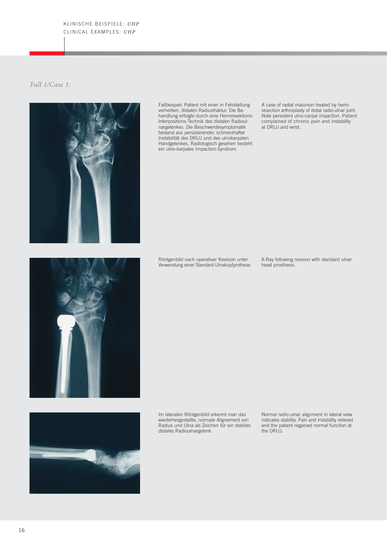# *Fall 1/Case 1:*



Fallbeispiel: Patient mit einer in Fehlstellung verheilten, distalen Radiusfraktur. Die Behandlung erfolgte durch eine Hemiresektions-Interpositions-Technik des distalen Radioulnargelenkes. Die Beschwerdesymptomatik bestand aus persistierender, schmerzhafter Instabilität des DRUJ und des ulnokarpalen Handgelenkes. Radiologisch gesehen besteht ein ulno-karpales Impaction-Syndrom.

A case of radial malunion treated by hemiresection arthroplasty of distal radio-ulnar joint. Note persistent ulno-carpal impaction. Patient complained of chronic pain and instability at DRUJ and wrist.

Röntgenbild nach operativer Revision unter Verwendung einer Standard-Ulnakopfprothese. X-Ray following revision with standard ulnar head prosthesis.





Im lateralen Röntgenbild erkennt man das wiederhergestellte, normale Alignement von Radius und Ulna als Zeichen für ein stabiles distales Radioulnargelenk.

Normal radio-ulnar alignment in lateral view indicates stability. Pain and instability relieved and the patient regained normal function at the DRUJ.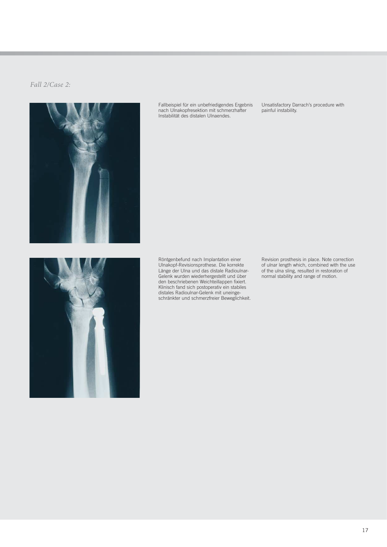# *Fall 2/Case 2:*



Fallbeispiel für ein unbefriedigendes Ergebnis nach Ulnakopfresektion mit schmerzhafter Instabilität des distalen Ulnaendes.

Unsatisfactory Darrach's procedure with painful instability.



Röntgenbefund nach Implantation einer Ulnakopf-Revisionsprothese. Die korrekte Länge der Ulna und das distale Radioulnar-Gelenk wurden wiederhergestellt und über den beschriebenen Weichteillappen fixiert. Klinisch fand sich postoperativ ein stabiles distales Radioulnar-Gelenk mit uneingeschränkter und schmerzfreier Beweglichkeit. Revision prosthesis in place. Note correction of ulnar length which, combined with the use of the ulna sling, resulted in restoration of normal stability and range of motion.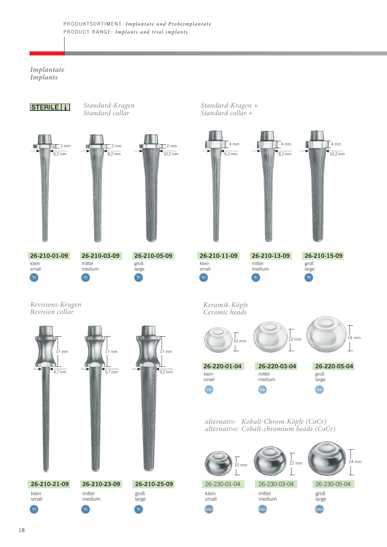#### *Implantate Implants*

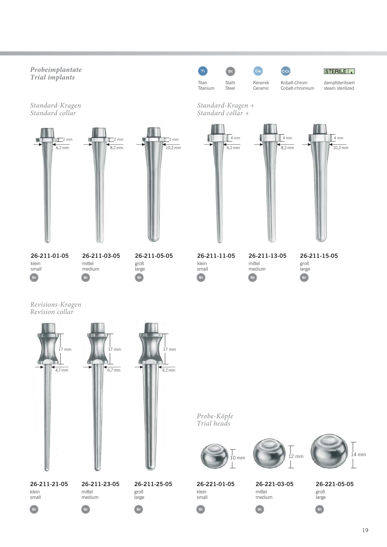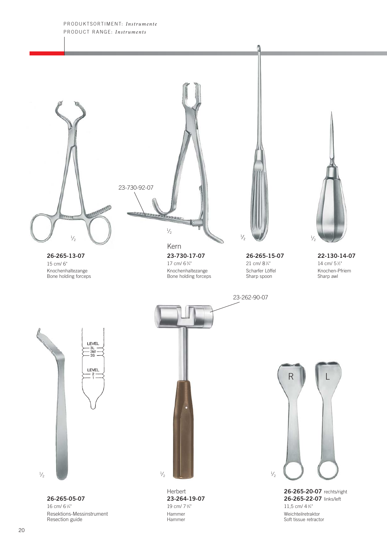#### PRODUKTSORTIMENT: *Instrumente* PRODUCT RANGE: *Instruments*

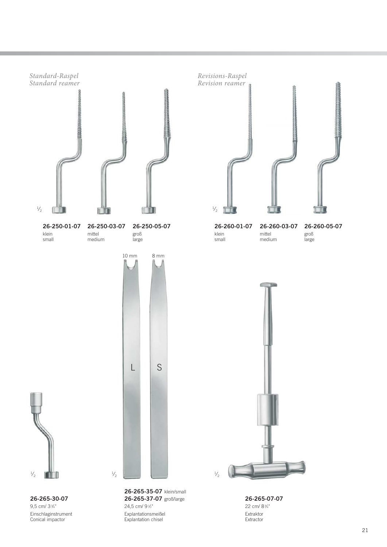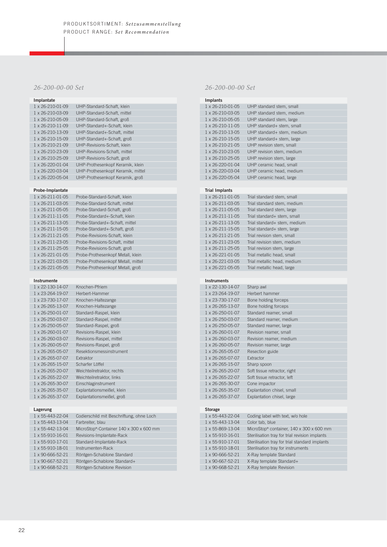# *26-200-00-00 Set*

| Implantate                    |                                   |
|-------------------------------|-----------------------------------|
| 1 x 26-210-01-09              | UHP-Standard-Schaft, klein        |
| 1 x 26-210-03-09              | UHP-Standard-Schaft, mittel       |
| 1 x 26-210-05-09              | UHP-Standard-Schaft, groß         |
| $1 \times 26 - 210 - 11 - 09$ | UHP-Standard+-Schaft, klein       |
| $1 \times 26 - 210 - 13 - 09$ | UHP-Standard+-Schaft, mittel      |
| 1 x 26-210-15-09              | UHP-Standard+-Schaft, groß        |
| $1 \times 26 - 210 - 21 - 09$ | UHP-Revisions-Schaft, klein       |
| 1 x 26-210-23-09              | UHP-Revisions-Schaft, mittel      |
| $1 \times 26 - 210 - 25 - 09$ | UHP-Revisions-Schaft, groß        |
| $1 \times 26 - 220 - 01 - 04$ | UHP-Prothesenkopf Keramik, klein  |
| 1 x 26-220-03-04              | UHP-Prothesenkopf Keramik, mittel |
| 1 x 26-220-05-04              | UHP-Prothesenkopf Keramik, groß   |

# **Probe-Implantate**

| 1 x 26-211-01-05              | Probe-Standard-Schaft, klein       |  |
|-------------------------------|------------------------------------|--|
| 1 x 26-211-03-05              | Probe-Standard-Schaft, mittel      |  |
| 1 x 26-211-05-05              | Probe-Standard-Schaft, groß        |  |
| $1 \times 26 - 211 - 11 - 05$ | Probe-Standard+-Schaft, klein      |  |
| 1 x 26-211-13-05              | Probe-Standard+-Schaft, mittel     |  |
| 1 x 26-211-15-05              | Probe-Standard+-Schaft, groß       |  |
| 1 x 26-211-21-05              | Probe-Revisions-Schaft, klein      |  |
| 1 x 26-211-23-05              | Probe-Revisions-Schaft, mittel     |  |
| 1 x 26-211-25-05              | Probe-Revisions-Schaft, groß       |  |
| 1 x 26-221-01-05              | Probe-Prothesenkopf Metall, klein  |  |
| 1 x 26-221-03-05              | Probe-Prothesenkopf Metall, mittel |  |
| 1 x 26-221-05-05              | Probe-Prothesenkopf Metall, groß   |  |

#### **Instrumente**

| $1 \times 22 - 130 - 14 - 07$ | Knochen-Pfriem             |
|-------------------------------|----------------------------|
| 1 x 23-264-19-07              | Herbert-Hammer             |
| 1 x 23-730-17-07              | Knochen-Haltezange         |
| 1 x 26-265-13-07              | Knochen-Haltezange         |
| $1 \times 26 - 250 - 01 - 07$ | Standard-Raspel, klein     |
| 1 x 26-250-03-07              | Standard-Raspel, mittel    |
| 1 x 26-250-05-07              | Standard-Raspel, groß      |
| 1 x 26-260-01-07              | Revisions-Raspel, klein    |
| 1 x 26-260-03-07              | Revisions-Raspel, mittel   |
| 1 x 26-260-05-07              | Revisions-Raspel, groß     |
| $1 \times 26 - 265 - 05 - 07$ | Resektionsmessinstrument   |
| 1 x 26-265-07-07              | <b>Fxtraktor</b>           |
| $1 \times 26 - 265 - 15 - 07$ | Scharfer I öffel           |
| 1 x 26-265-20-07              | Weichteilretraktor, rechts |
| 1 x 26-265-22-07              | Weichteilretraktor, links  |
| 1 x 26-265-30-07              | Einschlaginstrument        |
| 1 x 26-265-35-07              | Explantationsmeißel, klein |
| 1 x 26-265-37-07              | Explantationsmeißel, groß  |
|                               |                            |

#### **Lagerung**

| 1 x 55-443-22-04              | Codierschild mit Beschriftung, ohne Loch |
|-------------------------------|------------------------------------------|
| 1 x 55-443-13-04              | Farbreiter, blau                         |
| 1 x 55-442-13-04              | MicroStop®-Container 140 x 300 x 600 mm  |
| 1 x 55-910-16-01              | Revisions-Implantate-Rack                |
| 1 x 55-910-17-01              | Standard-Implantate-Rack                 |
| 1 x 55-910-18-01              | Instrumenten-Rack                        |
| $1 \times 90 - 666 - 52 - 21$ | Röntgen-Schablone Standard               |
| 1 x 90-667-52-21              | Röntgen-Schablone Standard+              |
| 1 x 90-668-52-21              | Röntgen-Schablone Revision               |

# *26-200-00-00 Set*

| <b>Implants</b>               |                            |
|-------------------------------|----------------------------|
| 1 x 26-210-01-05              | UHP standard stem, small   |
| 1 x 26-210-03-05              | UHP standard stem, medium  |
| 1 x 26-210-05-05              | UHP standard stem, large   |
| $1 \times 26 - 210 - 11 - 05$ | UHP standard+ stem, small  |
| $1 \times 26 - 210 - 13 - 05$ | UHP standard+ stem, medium |
| $1 \times 26 - 210 - 15 - 05$ | UHP standard+ stem, large  |
| $1 \times 26 - 210 - 21 - 05$ | UHP revision stem, small   |
| 1 x 26-210-23-05              | UHP revision stem, medium  |
| $1 \times 26 - 210 - 25 - 05$ | UHP revision stem, large   |
| 1 x 26-220-01-04              | UHP ceramic head, small    |
| 1 x 26-220-03-04              | UHP ceramic head, medium   |
| $1 \times 26 - 220 - 05 - 04$ | UHP ceramic head, large    |

#### **Trial Implants**

| 1 x 26-211-01-05              | Trial standard stem, small   |
|-------------------------------|------------------------------|
| $1 \times 26 - 211 - 03 - 05$ | Trial standard stem, medium  |
| 1 x 26-211-05-05              | Trial standard stem, large   |
| $1 \times 26 - 211 - 11 - 05$ | Trial standard+ stem, small  |
| $1 \times 26 - 211 - 13 - 05$ | Trial standard+ stem, medium |
| $1 \times 26 - 211 - 15 - 05$ | Trial standard+ stem, large  |
| $1 \times 26 - 211 - 21 - 05$ | Trial revision stem, small   |
| $1 \times 26 - 211 - 23 - 05$ | Trial revision stem, medium  |
| $1 \times 26 - 211 - 25 - 05$ | Trial revision stem, large   |
| $1 \times 26 - 221 - 01 - 05$ | Trial metallic head, small   |
| $1 \times 26 - 221 - 03 - 05$ | Trial metallic head, medium  |
| 1 x 26-221-05-05              | Trial metallic head, large   |

#### **Instruments**

| $1 \times 22 - 130 - 14 - 07$ | Sharp awl                    |
|-------------------------------|------------------------------|
| 1 x 23-264-19-07              | Herbert hammer               |
| 1 x 23-730-17-07              | Bone holding forceps         |
| 1 x 26-265-13-07              | Bone holding forceps         |
| $1 \times 26 - 250 - 01 - 07$ | Standard reamer, small       |
| 1 x 26-250-03-07              | Standard reamer, medium      |
| 1 x 26-250-05-07              | Standard reamer, large       |
| $1 \times 26 - 260 - 01 - 07$ | Revision reamer, small       |
| 1 x 26-260-03-07              | Revision reamer, medium      |
| 1 x 26-260-05-07              | Revision reamer, large       |
| $1 \times 26 - 265 - 05 - 07$ | Resection guide              |
| 1 x 26-265-07-07              | <b>Extractor</b>             |
| $1 \times 26 - 265 - 15 - 07$ | Sharp spoon                  |
| $1 \times 26 - 265 - 20 - 07$ | Soft tissue retractor, right |
| 1 x 26-265-22-07              | Soft tissue retractor, left  |
| 1 x 26-265-30-07              | Cone impactor                |
| 1 x 26-265-35-07              | Explantation chisel, small   |
| 1 x 26-265-37-07              | Explantation chisel, large   |

#### **Storage**

| $1 \times 55 - 443 - 22 - 04$ | Coding label with text, w/o hole               |
|-------------------------------|------------------------------------------------|
| 1 x 55-443-13-04              | Color tab, blue                                |
| 1 x 55-869-13-04              | MicroStop® container, 140 x 300 x 600 mm       |
| 1 x 55-910-16-01              | Sterilisation tray for trial revision implants |
| 1 x 55-910-17-01              | Sterilisation tray for trial standard implants |
| 1 x 55-910-18-01              | Sterilisation tray for instruments             |
| 1 x 90-666-52-21              | X-Ray template Standard                        |
| 1 x 90-667-52-21              | X-Ray template Standard+                       |
| 1 x 90-668-52-21              | X-Ray template Revision                        |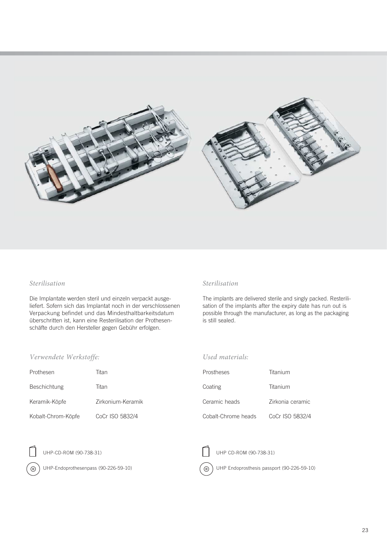

# *Sterilisation*

Die Implantate werden steril und einzeln verpackt ausgeliefert. Sofern sich das Implantat noch in der verschlossenen Verpackung befindet und das Mindesthaltbarkeitsdatum überschritten ist, kann eine Resterilisation der Prothesenschäfte durch den Hersteller gegen Gebühr erfolgen.

# *Verwendete Werkstoffe:*

| Prothesen           | Titan             |
|---------------------|-------------------|
| <b>Beschichtung</b> | Titan             |
| Keramik-Köpfe       | Zirkonium-Keramik |
| Kobalt-Chrom-Köpfe  | CoCr ISO 5832/4   |

# *Sterilisation*

The implants are delivered sterile and singly packed. Resterilisation of the implants after the expiry date has run out is possible through the manufacturer, as long as the packaging is still sealed.

#### *Used materials:*

 $\odot$ 

| Prostheses          | Titanium         |
|---------------------|------------------|
| Coating             | Titanium         |
| Ceramic heads       | Zirkonia ceramic |
| Cobalt-Chrome heads | CoCr ISO 5832/4  |



 $\odot$ 

UHP-CD-ROM (90-738-31)

UHP-Endoprothesenpass (90-226-59-10)

UHP Endoprosthesis passport (90-226-59-10)

UHP CD-ROM (90-738-31)